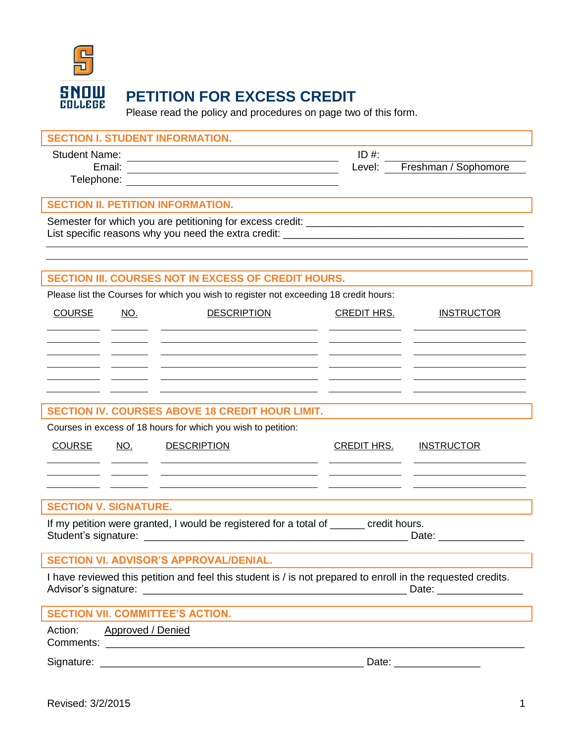

## **PETITION FOR EXCESS CREDIT**

Please read the policy and procedures on page two of this form.

| <b>SECTION I. STUDENT INFORMATION.</b>                                                                                                                 |                                                                                                                                                                                                                                |
|--------------------------------------------------------------------------------------------------------------------------------------------------------|--------------------------------------------------------------------------------------------------------------------------------------------------------------------------------------------------------------------------------|
| <b>Student Name:</b><br><u> 1989 - Johann Barn, mars eta bat erroman erroman erroman erroman erroman erroman erroman erroman erroman err</u><br>Email: | $ID#$ :<br>Level:<br>Freshman / Sophomore                                                                                                                                                                                      |
| <u> 1989 - Johann Stoff, deutscher Stoffen und der Stoffen und der Stoffen und der Stoffen und der Stoffen und der</u>                                 |                                                                                                                                                                                                                                |
| <b>SECTION II. PETITION INFORMATION.</b>                                                                                                               |                                                                                                                                                                                                                                |
| List specific reasons why you need the extra credit: ____________________________                                                                      |                                                                                                                                                                                                                                |
|                                                                                                                                                        |                                                                                                                                                                                                                                |
| SECTION III. COURSES NOT IN EXCESS OF CREDIT HOURS.                                                                                                    |                                                                                                                                                                                                                                |
| Please list the Courses for which you wish to register not exceeding 18 credit hours:                                                                  |                                                                                                                                                                                                                                |
| <b>COURSE</b><br><b>DESCRIPTION</b><br><u>NO.</u>                                                                                                      | <b>CREDIT HRS.</b><br><b>INSTRUCTOR</b>                                                                                                                                                                                        |
|                                                                                                                                                        |                                                                                                                                                                                                                                |
|                                                                                                                                                        |                                                                                                                                                                                                                                |
|                                                                                                                                                        |                                                                                                                                                                                                                                |
|                                                                                                                                                        |                                                                                                                                                                                                                                |
| <b>SECTION IV. COURSES ABOVE 18 CREDIT HOUR LIMIT.</b>                                                                                                 |                                                                                                                                                                                                                                |
| Courses in excess of 18 hours for which you wish to petition:                                                                                          |                                                                                                                                                                                                                                |
| <b>COURSE</b><br><b>DESCRIPTION</b><br>NO.                                                                                                             | <b>CREDIT HRS.</b><br><b>INSTRUCTOR</b>                                                                                                                                                                                        |
|                                                                                                                                                        |                                                                                                                                                                                                                                |
|                                                                                                                                                        |                                                                                                                                                                                                                                |
| <b>SECTION V. SIGNATURE.</b>                                                                                                                           |                                                                                                                                                                                                                                |
| If my petition were granted, I would be registered for a total of ______ credit hours.                                                                 | Date: $\frac{1}{2}$                                                                                                                                                                                                            |
| <b>SECTION VI. ADVISOR'S APPROVAL/DENIAL.</b>                                                                                                          |                                                                                                                                                                                                                                |
| I have reviewed this petition and feel this student is / is not prepared to enroll in the requested credits.                                           |                                                                                                                                                                                                                                |
| <b>SECTION VII. COMMITTEE'S ACTION.</b>                                                                                                                |                                                                                                                                                                                                                                |
| Approved / Denied<br>Action:                                                                                                                           |                                                                                                                                                                                                                                |
|                                                                                                                                                        | Date: the contract of the contract of the contract of the contract of the contract of the contract of the contract of the contract of the contract of the contract of the contract of the contract of the contract of the cont |